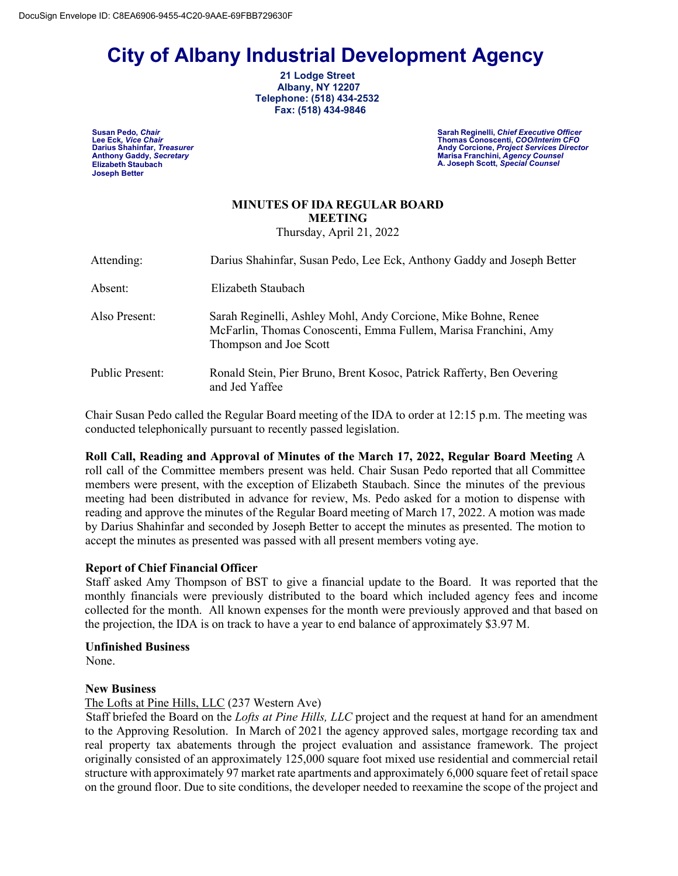# **City of Albany Industrial Development Agency 21 Lodge Street**

 **Albany, NY 12207 Telephone: (518) 434-2532 Fax: (518) 434-9846**

**Elizabeth Staubach Joseph Better**

**Susan Pedo,** *Chair* **Sarah Reginelli,** *Chief Executive Officer* **Lee Eck***, Vice Chair* **Thomas Conoscenti,** *COO/Interim CFO* **Darius Shahinfar,** *Treasurer* **Andy Corcione,** *Project Services Director* **Anthony Gaddy,** *Secretary* **Marisa Franchini,** *Agency Counsel* **A. Joseph Scott,** *Special Counsel*

## **MINUTES OF IDA REGULAR BOARD MEETING**

Thursday, April 21, 2022

| Attending:      | Darius Shahinfar, Susan Pedo, Lee Eck, Anthony Gaddy and Joseph Better                                                                                      |
|-----------------|-------------------------------------------------------------------------------------------------------------------------------------------------------------|
| Absent:         | Elizabeth Staubach                                                                                                                                          |
| Also Present:   | Sarah Reginelli, Ashley Mohl, Andy Corcione, Mike Bohne, Renee<br>McFarlin, Thomas Conoscenti, Emma Fullem, Marisa Franchini, Amy<br>Thompson and Joe Scott |
| Public Present: | Ronald Stein, Pier Bruno, Brent Kosoc, Patrick Rafferty, Ben Oevering<br>and Jed Yaffee                                                                     |

Chair Susan Pedo called the Regular Board meeting of the IDA to order at 12:15 p.m. The meeting was conducted telephonically pursuant to recently passed legislation.

**Roll Call, Reading and Approval of Minutes of the March 17, 2022, Regular Board Meeting** A roll call of the Committee members present was held. Chair Susan Pedo reported that all Committee members were present, with the exception of Elizabeth Staubach. Since the minutes of the previous meeting had been distributed in advance for review, Ms. Pedo asked for a motion to dispense with reading and approve the minutes of the Regular Board meeting of March 17, 2022. A motion was made by Darius Shahinfar and seconded by Joseph Better to accept the minutes as presented. The motion to accept the minutes as presented was passed with all present members voting aye.

#### **Report of Chief Financial Officer**

 Staff asked Amy Thompson of BST to give a financial update to the Board. It was reported that the monthly financials were previously distributed to the board which included agency fees and income collected for the month. All known expenses for the month were previously approved and that based on the projection, the IDA is on track to have a year to end balance of approximately \$3.97 M.

#### **Unfinished Business**

None.

#### **New Business**

#### The Lofts at Pine Hills, LLC (237 Western Ave)

 Staff briefed the Board on the *Lofts at Pine Hills, LLC* project and the request at hand for an amendment to the Approving Resolution. In March of 2021 the agency approved sales, mortgage recording tax and real property tax abatements through the project evaluation and assistance framework. The project originally consisted of an approximately 125,000 square foot mixed use residential and commercial retail structure with approximately 97 market rate apartments and approximately 6,000 square feet of retail space on the ground floor. Due to site conditions, the developer needed to reexamine the scope of the project and